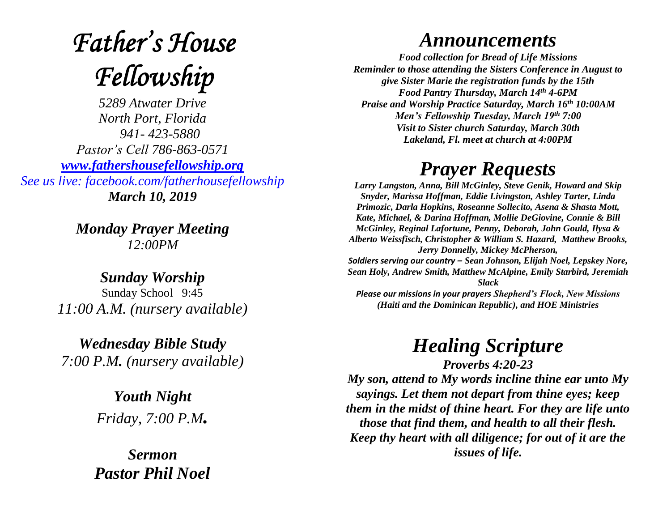## **Father's House** Fellowship

*5289 Atwater Drive North Port, Florida 941- 423-5880 Pastor's Cell 786-863-0571 [www.fathershousefellowship.org](http://www.fathershousefellowship.org/) See us live: facebook.com/fatherhousefellowship March 10, 2019*

> *Monday Prayer Meeting 12:00PM*

*Sunday Worship* Sunday School 9:45 *11:00 A.M. (nursery available)*

*Wednesday Bible Study 7:00 P.M. (nursery available)*

> *Youth Night Friday, 7:00 P.M.*

*Sermon Pastor Phil Noel*

## *Announcements*

*Food collection for Bread of Life Missions Reminder to those attending the Sisters Conference in August to give Sister Marie the registration funds by the 15th Food Pantry Thursday, March 14th 4-6PM Praise and Worship Practice Saturday, March 16th 10:00AM Men's Fellowship Tuesday, March 19th 7:00 Visit to Sister church Saturday, March 30th Lakeland, Fl. meet at church at 4:00PM*

## *Prayer Requests*

*Larry Langston, Anna, Bill McGinley, Steve Genik, Howard and Skip Snyder, Marissa Hoffman, Eddie Livingston, Ashley Tarter, Linda Primozic, Darla Hopkins, Roseanne Sollecito, Asena & Shasta Mott, Kate, Michael, & Darina Hoffman, Mollie DeGiovine, Connie & Bill McGinley, Reginal Lafortune, Penny, Deborah, John Gould, Ilysa & Alberto Weissfisch, Christopher & William S. Hazard, Matthew Brooks, Jerry Donnelly, Mickey McPherson, Soldiers serving our country – Sean Johnson, Elijah Noel, Lepskey Nore, Sean Holy, Andrew Smith, Matthew McAlpine, Emily Starbird, Jeremiah Slack Please our missions in your prayers Shepherd's Flock, New Missions (Haiti and the Dominican Republic), and HOE Ministries*

*Healing Scripture*

*Proverbs 4:20-23 My son, attend to My words incline thine ear unto My sayings. Let them not depart from thine eyes; keep them in the midst of thine heart. For they are life unto those that find them, and health to all their flesh. Keep thy heart with all diligence; for out of it are the issues of life.*